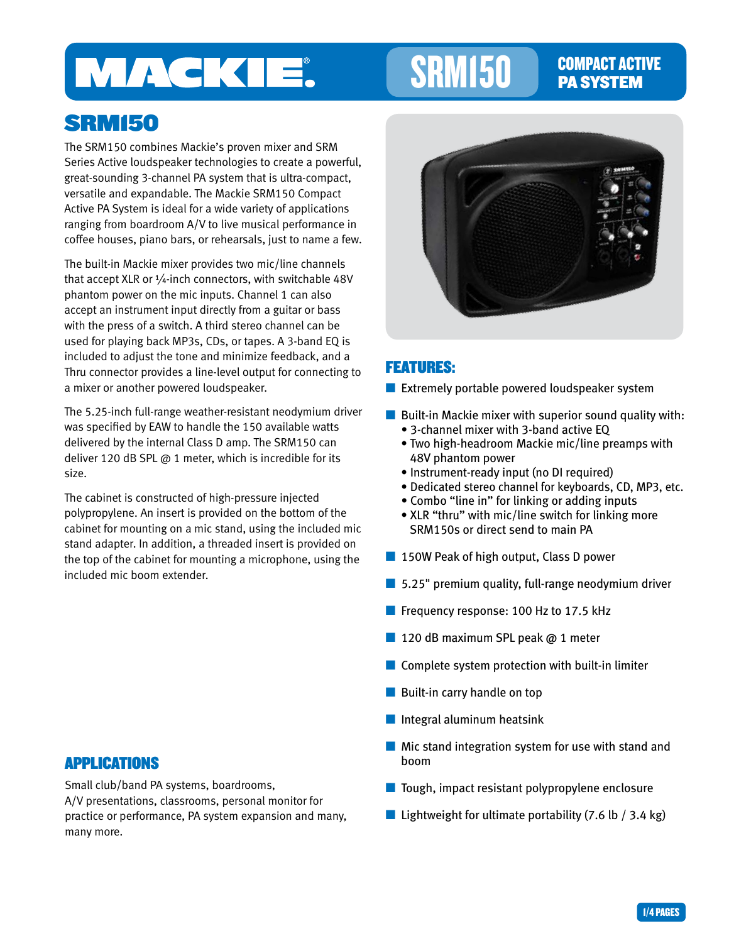# MACKIE.

# SRM150 COMPACT ACTIVE

# PA SYSTEM

# SRM150

The SRM150 combines Mackie's proven mixer and SRM Series Active loudspeaker technologies to create a powerful, great-sounding 3-channel PA system that is ultra-compact, versatile and expandable. The Mackie SRM150 Compact Active PA System is ideal for a wide variety of applications ranging from boardroom A/V to live musical performance in coffee houses, piano bars, or rehearsals, just to name a few.

The built-in Mackie mixer provides two mic/line channels that accept XLR or ¼-inch connectors, with switchable 48V phantom power on the mic inputs. Channel 1 can also accept an instrument input directly from a guitar or bass with the press of a switch. A third stereo channel can be used for playing back MP3s, CDs, or tapes. A 3-band EQ is included to adjust the tone and minimize feedback, and a Thru connector provides a line-level output for connecting to a mixer or another powered loudspeaker.

The 5.25-inch full-range weather-resistant neodymium driver was specified by EAW to handle the 150 available watts delivered by the internal Class D amp. The SRM150 can deliver 120 dB SPL @ 1 meter, which is incredible for its size.

The cabinet is constructed of high-pressure injected polypropylene. An insert is provided on the bottom of the cabinet for mounting on a mic stand, using the included mic stand adapter. In addition, a threaded insert is provided on the top of the cabinet for mounting a microphone, using the included mic boom extender.

### APPLICATIONS

Small club/band PA systems, boardrooms, A/V presentations, classrooms, personal monitor for practice or performance, PA system expansion and many, many more.



### FEATURES:

■ Extremely portable powered loudspeaker system

- $\blacksquare$  Built-in Mackie mixer with superior sound quality with: • 3-channel mixer with 3-band active EQ
	- Two high-headroom Mackie mic/line preamps with 48V phantom power
	- Instrument-ready input (no DI required)
	- Dedicated stereo channel for keyboards, CD, MP3, etc.
	- Combo "line in" for linking or adding inputs
	- XLR "thru" with mic/line switch for linking more SRM150s or direct send to main PA
- 150W Peak of high output, Class D power
- $\blacksquare$  5.25" premium quality, full-range neodymium driver
- Frequency response: 100 Hz to 17.5 kHz
- 120 dB maximum SPL peak @ 1 meter
- $\blacksquare$  Complete system protection with built-in limiter
- Built-in carry handle on top
- $\blacksquare$  Integral aluminum heatsink
- Mic stand integration system for use with stand and boom
- Tough, impact resistant polypropylene enclosure
- Lightweight for ultimate portability  $(7.6 \text{ lb} / 3.4 \text{ kg})$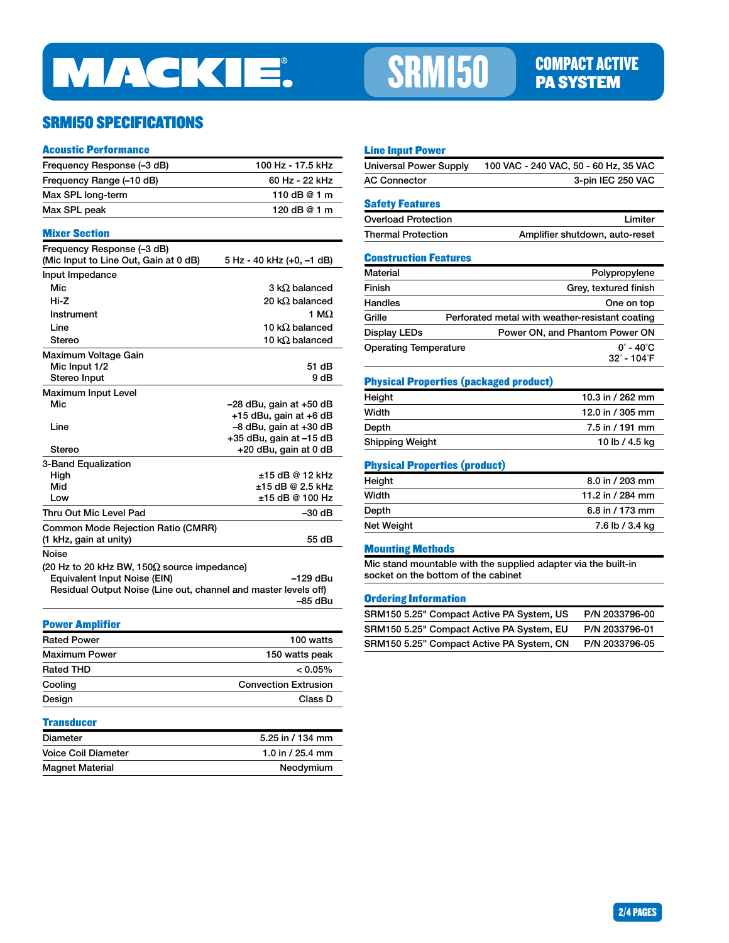

# SRM150 COMPACT ACTIVE

## SRM150 SPECIFICATIONS

#### Acoustic Performance

| Frequency Response (-3 dB)                                          | 100 Hz - 17.5 kHz                                |
|---------------------------------------------------------------------|--------------------------------------------------|
| Frequency Range (-10 dB)                                            | 60 Hz - 22 kHz                                   |
| Max SPL long-term                                                   | 110 dB @ 1 m                                     |
| Max SPL peak                                                        | 120 dB @ 1 m                                     |
| <b>Mixer Section</b>                                                |                                                  |
| Frequency Response (-3 dB)<br>(Mic Input to Line Out, Gain at 0 dB) | 5 Hz - 40 kHz (+0, -1 dB)                        |
| Input Impedance                                                     |                                                  |
| Mic                                                                 | 3 k $\Omega$ balanced                            |
| Hi-Z                                                                | 20 k $\Omega$ balanced                           |
| Instrument                                                          | 1 M $\Omega$                                     |
| Line                                                                | 10 k $\Omega$ balanced                           |
| Stereo                                                              | 10 k $\Omega$ balanced                           |
| Maximum Voltage Gain                                                |                                                  |
| Mic Input 1/2                                                       | 51 dB                                            |
| Stereo Input                                                        | 9 dB                                             |
| <b>Maximum Input Level</b>                                          |                                                  |
| Mic                                                                 | –28 dBu, gain at +50 dB                          |
|                                                                     | +15 dBu, gain at +6 dB                           |
| Line                                                                | -8 dBu, gain at +30 dB                           |
| <b>Stereo</b>                                                       | +35 dBu, gain at -15 dB<br>+20 dBu, gain at 0 dB |
| 3-Band Equalization                                                 |                                                  |
| High                                                                | ±15 dB @ 12 kHz                                  |
| Mid                                                                 | ±15 dB @ 2.5 kHz                                 |
| Low                                                                 | ±15 dB @ 100 Hz                                  |
| Thru Out Mic Level Pad                                              | –30 dB                                           |
| <b>Common Mode Rejection Ratio (CMRR)</b>                           |                                                  |
| (1 kHz, gain at unity)                                              | 55 dB                                            |
| Noise                                                               |                                                  |
| (20 Hz to 20 kHz BW, 150 $\Omega$ source impedance)                 |                                                  |
| Equivalent Input Noise (EIN)                                        | –129 dBu                                         |
| Residual Output Noise (Line out, channel and master levels off)     |                                                  |
|                                                                     | –85 dBu                                          |
| <b>Power Amplifier</b>                                              |                                                  |
| <b>Rated Power</b>                                                  | 100 watts                                        |
| <b>Maximum Power</b>                                                | 150 watts peak                                   |
| <b>Rated THD</b>                                                    | $< 0.05\%$                                       |
| Cooling                                                             | <b>Convection Extrusion</b>                      |
| Design                                                              | Class D                                          |

#### **Transducer**

| Diameter                   | 5.25 in / 134 mm |
|----------------------------|------------------|
| <b>Voice Coil Diameter</b> | 1.0 in / 25.4 mm |
| <b>Magnet Material</b>     | Neodymium        |

#### Line Input Power

| Universal Power Supply                    | 100 VAC - 240 VAC, 50 - 60 Hz, 35 VAC |
|-------------------------------------------|---------------------------------------|
| <b>AC Connector</b>                       | 3-pin IEC 250 VAC                     |
| <b>Safety Features</b>                    |                                       |
| $\sim$ $\sim$ $\sim$ $\sim$ $\sim$ $\sim$ |                                       |

### Overload Protection **Limiter** Limiter Thermal Protection Amplifier shutdown, auto-reset

#### Construction Features

| Material                     | Polypropylene                                   |
|------------------------------|-------------------------------------------------|
| Finish                       | Grey, textured finish                           |
| Handles                      | One on top                                      |
| Grille                       | Perforated metal with weather-resistant coating |
| Display LEDs                 | Power ON, and Phantom Power ON                  |
| <b>Operating Temperature</b> | $0^{\circ}$ - 40 $^{\circ}$ C                   |
|                              | $32^{\circ}$ - 104 $^{\circ}$ F                 |

#### Physical Properties (packaged product)

| Height          | 10.3 in / 262 mm |
|-----------------|------------------|
| Width           | 12.0 in / 305 mm |
| Depth           | 7.5 in / 191 mm  |
| Shipping Weight | 10 lb / 4.5 kg   |

#### Physical Properties (product)

| Height     | 8.0 in / 203 mm   |
|------------|-------------------|
| Width      | 11.2 in / 284 mm  |
| Depth      | 6.8 in $/$ 173 mm |
| Net Weight | 7.6 lb / 3.4 kg   |

#### Mounting Methods

Mic stand mountable with the supplied adapter via the built-in socket on the bottom of the cabinet

#### Ordering Information

| SRM150 5.25" Compact Active PA System, US | P/N 2033796-00 |
|-------------------------------------------|----------------|
| SRM150 5.25" Compact Active PA System, EU | P/N 2033796-01 |
| SRM150 5.25" Compact Active PA System, CN | P/N 2033796-05 |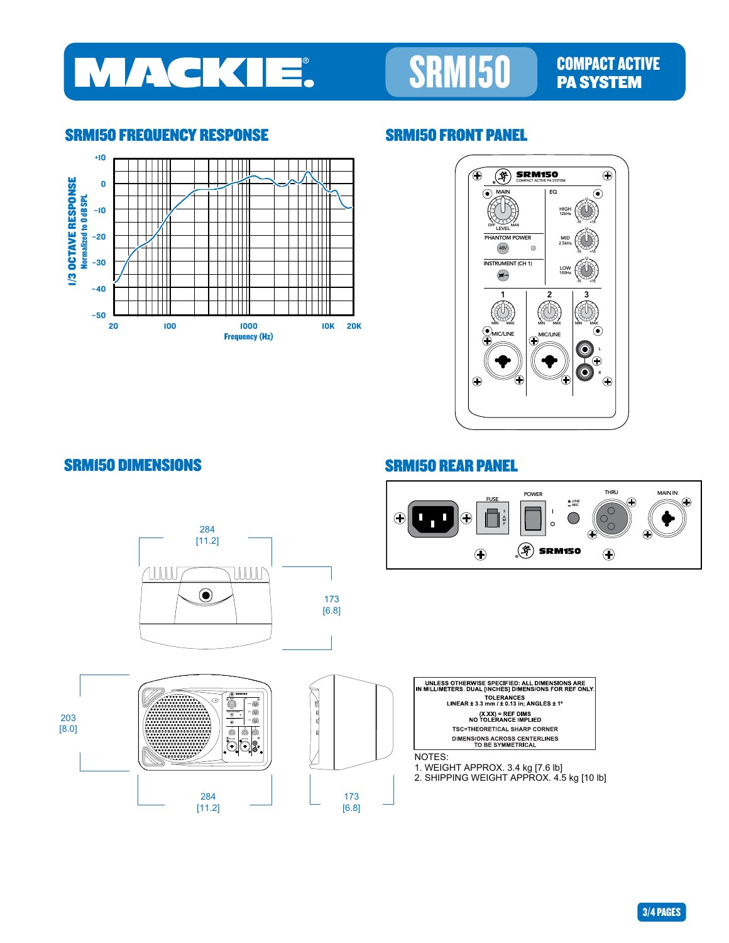

# SRM150 COMPACT ACTIVE

### SRM150 FREQUENCY RESPONSE SRM150 FRONT PANEL





## SRM150 DIMENSIONS SRM150 REAR PANEL



3/4 PAGES